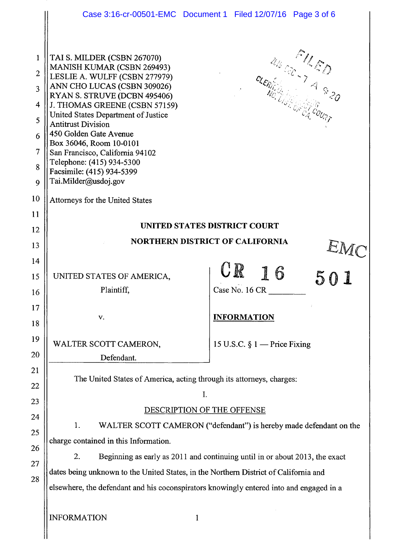|                                                                                  | Case 3:16-cr-00501-EMC Document 1 Filed 12/07/16 Page 3 of 6                                                                                                                                                                                                                                                                                                                                                                             |                                 |
|----------------------------------------------------------------------------------|------------------------------------------------------------------------------------------------------------------------------------------------------------------------------------------------------------------------------------------------------------------------------------------------------------------------------------------------------------------------------------------------------------------------------------------|---------------------------------|
| 1<br>$\overline{2}$<br>$\overline{3}$<br>4<br>5<br>6<br>$\overline{7}$<br>8<br>9 | TAI S. MILDER (CSBN 267070)<br>MANISH KUMAR (CSBN 269493)<br>LESLIE A. WULFF (CSBN 277979)<br>ANN CHO LUCAS (CSBN 309026)<br>RYAN S. STRUVE (DCBN 495406)<br>J. THOMAS GREENE (CSBN 57159)<br>United States Department of Justice<br><b>Antitrust Division</b><br>450 Golden Gate Avenue<br>Box 36046, Room 10-0101<br>San Francisco, California 94102<br>Telephone: (415) 934-5300<br>Facsimile: (415) 934-5399<br>Tai.Milder@usdoj.gov | U.S. S. COURT                   |
| 10                                                                               | Attorneys for the United States                                                                                                                                                                                                                                                                                                                                                                                                          |                                 |
| 11                                                                               | UNITED STATES DISTRICT COURT                                                                                                                                                                                                                                                                                                                                                                                                             |                                 |
| 12                                                                               | <b>NORTHERN DISTRICT OF CALIFORNIA</b>                                                                                                                                                                                                                                                                                                                                                                                                   |                                 |
| 13<br>14                                                                         | EMC                                                                                                                                                                                                                                                                                                                                                                                                                                      |                                 |
| 15                                                                               | UNITED STATES OF AMERICA,                                                                                                                                                                                                                                                                                                                                                                                                                | <b>UR</b><br>16<br>501          |
| 16                                                                               | Plaintiff,                                                                                                                                                                                                                                                                                                                                                                                                                               | Case No. 16 CR                  |
| 17                                                                               |                                                                                                                                                                                                                                                                                                                                                                                                                                          |                                 |
| 18                                                                               | v.                                                                                                                                                                                                                                                                                                                                                                                                                                       | <b>INFORMATION</b>              |
| 19<br>20                                                                         | WALTER SCOTT CAMERON,<br>Defendant.                                                                                                                                                                                                                                                                                                                                                                                                      | 15 U.S.C. $\S 1$ – Price Fixing |
| 21                                                                               | The United States of America, acting through its attorneys, charges:                                                                                                                                                                                                                                                                                                                                                                     |                                 |
| 22                                                                               | I.                                                                                                                                                                                                                                                                                                                                                                                                                                       |                                 |
| 23<br>24                                                                         | DESCRIPTION OF THE OFFENSE                                                                                                                                                                                                                                                                                                                                                                                                               |                                 |
| 25                                                                               | 1.<br>WALTER SCOTT CAMERON ("defendant") is hereby made defendant on the                                                                                                                                                                                                                                                                                                                                                                 |                                 |
| 26                                                                               | charge contained in this Information.                                                                                                                                                                                                                                                                                                                                                                                                    |                                 |
| 27<br>28                                                                         | 2.<br>Beginning as early as 2011 and continuing until in or about 2013, the exact                                                                                                                                                                                                                                                                                                                                                        |                                 |
|                                                                                  | dates being unknown to the United States, in the Northern District of California and                                                                                                                                                                                                                                                                                                                                                     |                                 |
|                                                                                  | elsewhere, the defendant and his coconspirators knowingly entered into and engaged in a                                                                                                                                                                                                                                                                                                                                                  |                                 |
|                                                                                  | <b>INFORMATION</b><br>1                                                                                                                                                                                                                                                                                                                                                                                                                  |                                 |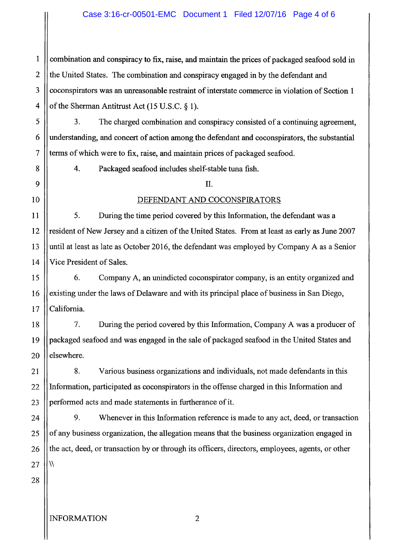# Case 3:16-cr-00501-EMC Document 1 Filed 12/07/16 Page 4 of 6

1 2 3 4 combination and conspiracy to fix, raise, and maintain the prices of packaged seafood sold in the United States. The combination and conspiracy engaged in by the defendant and coconspirators was an unreasonable restraint of interstate commerce in violation of Section 1 of the Sherman Antitrust Act (15 U.S.C. § 1).

3. The charged combination and conspiracy consisted of a continuing agreement, understanding, and concert of action among the defendant and coconspirators, the substantial terms of which were to fix, raise, and maintain prices of packaged seafood.

4. Packaged seafood includes shelf-stable tuna fish.

#### ll.

## DEFENDANT AND COCONSPIRATORS

5. During the time period covered by this Information, the defendant was a resident of New Jersey and a citizen of the United States. From at least as early as June 2007 until at least as late as October 2016, the defendant was employed by Company A as a Senior Vice President of Sales.

6. Company A, an unindicted coconspirator company, is an entity organized and existing under the laws of Delaware and with its principal place of business in San Diego, California.

18 19 20 7. During the period covered by this Information, Company A was a producer of packaged seafood and was engaged in the sale of packaged seafood in the United States and elsewhere.

8. Various business organizations and individuals, not made defendants in this Information, participated as coconspirators in the offense charged in this Information and performed acts and made statements in furtherance of it.

9. Whenever in this Information reference is made to any act, deed, or transaction of any business organization, the allegation means that the business organization engaged in the act, deed, or transaction by or through its officers, directors, employees, agents, or other  $\sqrt{2}$ 

28

5

6

7

8

9

10

11

12

13

14

15

16

17

21

22

23

24

25

26

27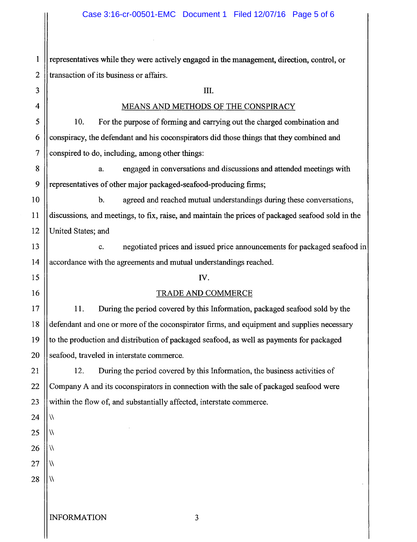1 2 3 4 5 6 7 8 9 10 11 12 representatives while they were actively engaged in the management, direction, control, or transaction of its business or affairs. III. MEANS AND METHODS OF THE CONSPIRACY 10. For the purpose of forming and carrying out the charged combination and conspiracy, the defendant and his coconspirators did those things that they combined and conspired to do, including, among other things: a. engaged in conversations and discussions and attended meetings with representatives of other major packaged-seafood-producing firms; b. agreed and reached mutual understandings during these conversations, discussions, and meetings, to fix, raise, and maintain the prices of packaged seafood sold in the United States; and

13 14 c. negotiated prices and issued price announcements for packaged seafood in accordance with the agreements and mutual understandings reached.

#### IV.

# TRADE AND COMMERCE

11. During the period covered by this Information, packaged seafood sold by the defendant and one or more of the coconspirator firms, and equipment and supplies necessary to the production and distribution of packaged seafood, as well as payments for packaged seafood, traveled in interstate commerce.

12. During the period covered by this Information, the business activities of Company A and its coconspirators in connection with the sale of packaged seafood were within the flow of, and substantially affected, interstate commerce.

 $\sqrt{}$ 

 $\sqrt{}$ 

 $\sqrt{}$ 

 $\sqrt{2}$ 

15

16

17

18

19

20

21

28  $\sqrt{ }$